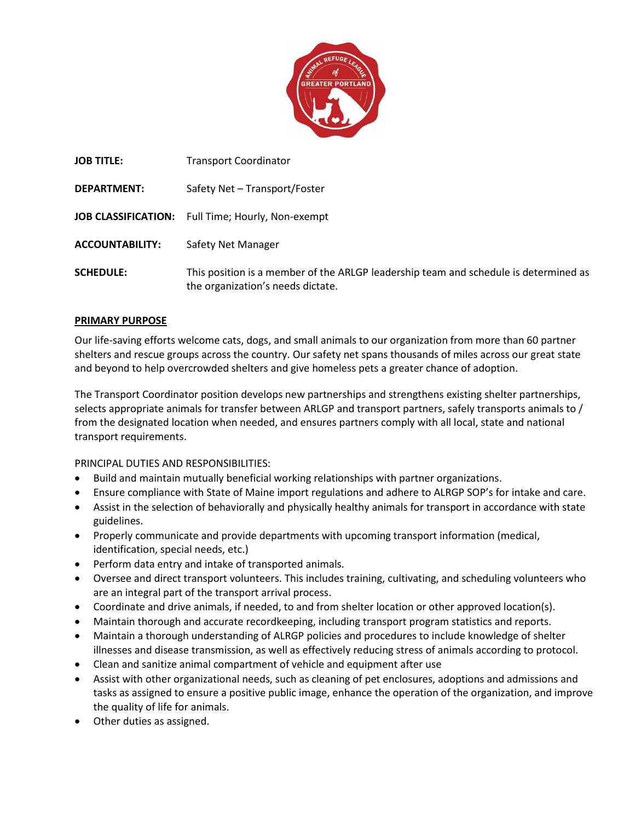

| <b>JOB TITLE:</b>      | <b>Transport Coordinator</b>                                                                                              |
|------------------------|---------------------------------------------------------------------------------------------------------------------------|
| <b>DEPARTMENT:</b>     | Safety Net - Transport/Foster                                                                                             |
|                        | JOB CLASSIFICATION: Full Time; Hourly, Non-exempt                                                                         |
| <b>ACCOUNTABILITY:</b> | Safety Net Manager                                                                                                        |
| <b>SCHEDULE:</b>       | This position is a member of the ARLGP leadership team and schedule is determined as<br>the organization's needs dictate. |

## **PRIMARY PURPOSE**

Our life-saving efforts welcome cats, dogs, and small animals to our organization from more than 60 partner shelters and rescue groups across the country. Our safety net spans thousands of miles across our great state and beyond to help overcrowded shelters and give homeless pets a greater chance of adoption.

The Transport Coordinator position develops new partnerships and strengthens existing shelter partnerships, selects appropriate animals for transfer between ARLGP and transport partners, safely transports animals to / from the designated location when needed, and ensures partners comply with all local, state and national transport requirements.

PRINCIPAL DUTIES AND RESPONSIBILITIES:

- Build and maintain mutually beneficial working relationships with partner organizations.
- Ensure compliance with State of Maine import regulations and adhere to ALRGP SOP's for intake and care.
- Assist in the selection of behaviorally and physically healthy animals for transport in accordance with state guidelines.
- Properly communicate and provide departments with upcoming transport information (medical, identification, special needs, etc.)
- Perform data entry and intake of transported animals.
- Oversee and direct transport volunteers. This includes training, cultivating, and scheduling volunteers who are an integral part of the transport arrival process.
- Coordinate and drive animals, if needed, to and from shelter location or other approved location(s).
- Maintain thorough and accurate recordkeeping, including transport program statistics and reports.
- Maintain a thorough understanding of ALRGP policies and procedures to include knowledge of shelter illnesses and disease transmission, as well as effectively reducing stress of animals according to protocol.
- Clean and sanitize animal compartment of vehicle and equipment after use
- Assist with other organizational needs, such as cleaning of pet enclosures, adoptions and admissions and tasks as assigned to ensure a positive public image, enhance the operation of the organization, and improve the quality of life for animals.
- Other duties as assigned.